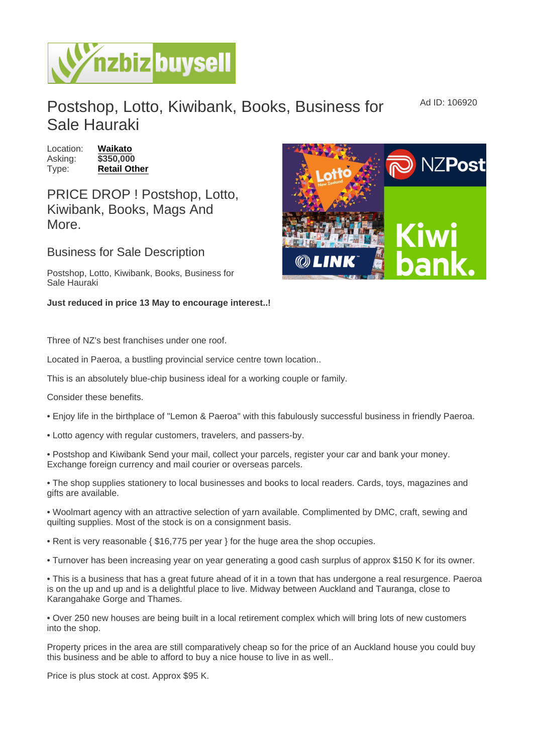Postshop, Lotto, Kiwibank, Books, Business for Sale Hauraki

Location: [Waikato](https://www.nzbizbuysell.co.nz/businesses-for-sale/location/Waikato) Asking: \$350,000 Type: [Retail Other](https://www.nzbizbuysell.co.nz/businesses-for-sale/Retail-Other/New-Zealand)

PRICE DROP ! Postshop, Lotto, Kiwibank, Books, Mags And More.

Business for Sale Description

Postshop, Lotto, Kiwibank, Books, Business for Sale Hauraki

Just reduced in price 13 May to encourage interest..!

Three of NZ's best franchises under one roof.

Located in Paeroa, a bustling provincial service centre town location..

This is an absolutely blue-chip business ideal for a working couple or family.

Consider these benefits.

• Enjoy life in the birthplace of "Lemon & Paeroa" with this fabulously successful business in friendly Paeroa.

• Lotto agency with regular customers, travelers, and passers-by.

• Postshop and Kiwibank Send your mail, collect your parcels, register your car and bank your money. Exchange foreign currency and mail courier or overseas parcels.

• The shop supplies stationery to local businesses and books to local readers. Cards, toys, magazines and gifts are available.

• Woolmart agency with an attractive selection of yarn available. Complimented by DMC, craft, sewing and quilting supplies. Most of the stock is on a consignment basis.

• Rent is very reasonable { \$16,775 per year } for the huge area the shop occupies.

• Turnover has been increasing year on year generating a good cash surplus of approx \$150 K for its owner.

• This is a business that has a great future ahead of it in a town that has undergone a real resurgence. Paeroa is on the up and up and is a delightful place to live. Midway between Auckland and Tauranga, close to Karangahake Gorge and Thames.

• Over 250 new houses are being built in a local retirement complex which will bring lots of new customers into the shop.

Property prices in the area are still comparatively cheap so for the price of an Auckland house you could buy this business and be able to afford to buy a nice house to live in as well..

Price is plus stock at cost. Approx \$95 K.